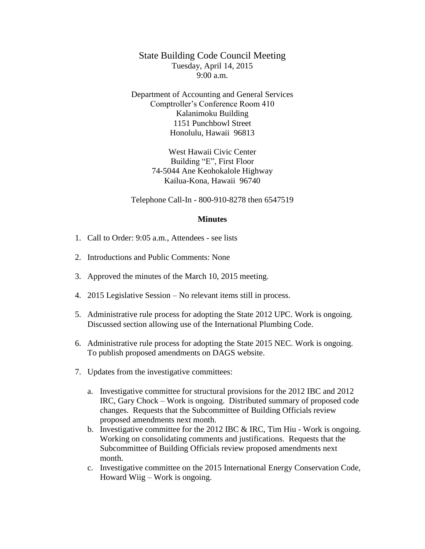State Building Code Council Meeting Tuesday, April 14, 2015  $9:00 a.m.$ 

Department of Accounting and General Services Comptroller's Conference Room 410 Kalanimoku Building 1151 Punchbowl Street Honolulu, Hawaii 96813

> West Hawaii Civic Center Building "E", First Floor 74-5044 Ane Keohokalole Highway Kailua-Kona, Hawaii 96740

Telephone Call-In - 800-910-8278 then 6547519

## **Minutes**

- 1. Call to Order: 9:05 a.m., Attendees see lists
- 2. Introductions and Public Comments: None
- 3. Approved the minutes of the March 10, 2015 meeting.
- 4. 2015 Legislative Session No relevant items still in process.
- 5. Administrative rule process for adopting the State 2012 UPC. Work is ongoing. Discussed section allowing use of the International Plumbing Code.
- 6. Administrative rule process for adopting the State 2015 NEC. Work is ongoing. To publish proposed amendments on DAGS website.
- 7. Updates from the investigative committees:
	- a. Investigative committee for structural provisions for the 2012 IBC and 2012 IRC, Gary Chock – Work is ongoing. Distributed summary of proposed code changes. Requests that the Subcommittee of Building Officials review proposed amendments next month.
	- b. Investigative committee for the 2012 IBC & IRC, Tim Hiu Work is ongoing. Working on consolidating comments and justifications. Requests that the Subcommittee of Building Officials review proposed amendments next month.
	- c. Investigative committee on the 2015 International Energy Conservation Code, Howard Wiig – Work is ongoing.